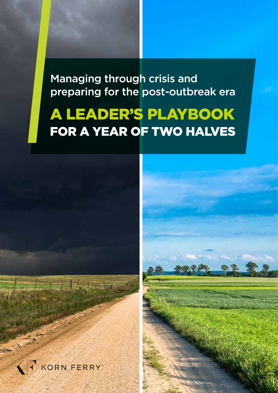Managing through crisis and preparing for the post-outbreak era

# A LEADER'S PLAYBOOK FOR A YEAR OF TWO HALVES



**Configuration**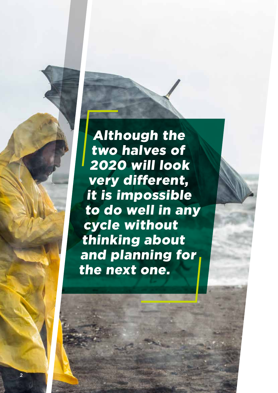Although the two halves of 2020 will look very different, it is impossible to do well in any cycle without thinking about and planning for the next one.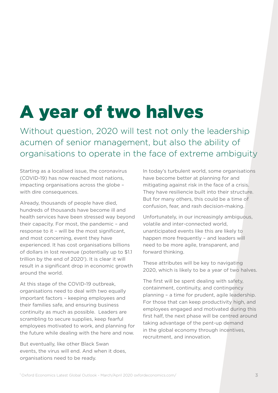# A year of two halves

Without question, 2020 will test not only the leadership acumen of senior management, but also the ability of organisations to operate in the face of extreme ambiguity

Starting as a localised issue, the coronavirus (COVID-19) has now reached most nations, impacting organisations across the globe – with dire consequences.

Already, thousands of people have died, hundreds of thousands have become ill and health services have been stressed way beyond their capacity. For most, the pandemic – and response to it – will be the most significant, and most concerning, event they have experienced. It has cost organisations billions of dollars in lost revenue (potentially up to \$1.1 trillion by the end of 2020<sup>1</sup>). It is clear it will result in a significant drop in economic growth around the world.

At this stage of the COVID-19 outbreak, organisations need to deal with two equally important factors – keeping employees and their families safe, and ensuring business continuity as much as possible. Leaders are scrambling to secure supplies, keep fearful employees motivated to work, and planning for the future while dealing with the here and now.

But eventually, like other Black Swan events, the virus will end. And when it does, organisations need to be ready.

In today's turbulent world, some organisations have become better at planning for and mitigating against risk in the face of a crisis. They have resiliencie built into their structure. But for many others, this could be a time of confusion, fear, and rash decision-making.

Unfortunately, in our increasingly ambiguous, volatile and inter-connected world, unanticipated events like this are likely to happen more frequently – and leaders will need to be more agile, transparent, and forward thinking.

These attributes will be key to navigating 2020, which is likely to be a year of two halves.

The first will be spent dealing with safety, containment, continuity, and contingency planning – a time for prudent, agile leadership. For those that can keep productivity high, and employees engaged and motivated during this first half, the next phase will be centred around taking advantage of the pent-up demand in the global economy through incentives, recruitment, and innovation.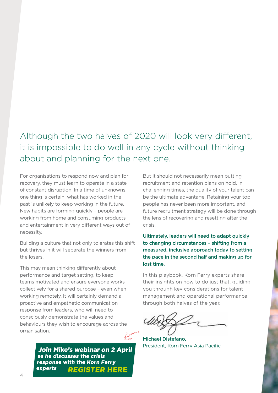# Although the two halves of 2020 will look very different, it is impossible to do well in any cycle without thinking about and planning for the next one.

For organisations to respond now and plan for recovery, they must learn to operate in a state of constant disruption. In a time of unknowns, one thing is certain: what has worked in the past is unlikely to keep working in the future. New habits are forming quickly – people are working from home and consuming products and entertainment in very different ways out of necessity.

Building a culture that not only tolerates this shift but thrives in it will separate the winners from the losers.

This may mean thinking differently about performance and target setting, to keep teams motivated and ensure everyone works collectively for a shared purpose – even when working remotely. It will certainly demand a proactive and empathetic communication response from leaders, who will need to consciously demonstrate the values and behaviours they wish to encourage across the organisation.

[Join Mike's webinar on 2 April](https://infokf.kornferry.com/LeadingThroughCrisis.html?utm_source=outreach&utm_medium=email&utm_term=COVID19webinarplaybook&utm_content=webinar&utm_campaign=20-03-APAC-COVID19) as he discusses the crisis response with the Korn Ferry experts REGISTER HERE

But it should not necessarily mean putting recruitment and retention plans on hold. In challenging times, the quality of your talent can be the ultimate advantage. Retaining your top people has never been more important, and future recruitment strategy will be done through the lens of recovering and resetting after the crisis.

Ultimately, leaders will need to adapt quickly to changing circumstances – shifting from a measured, inclusive approach today to setting the pace in the second half and making up for lost time.

In this playbook, Korn Ferry experts share their insights on how to do just that, guiding you through key considerations for talent management and operational performance through both halves of the year.

Michael Distefano, President, Korn Ferry Asia Pacific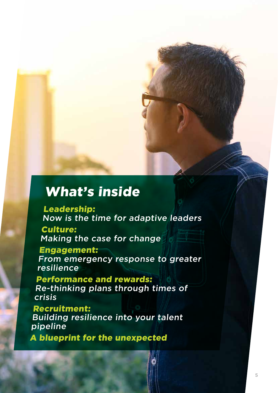# What's inside

Leadership: Now is the time for adaptive leaders

Culture: Making the case for change

Engagement: From emergency response to greater resilience

Performance and rewards: Re-thinking plans through times of crisis

Recruitment: Building resilience into your talent pipeline

A blueprint for the unexpected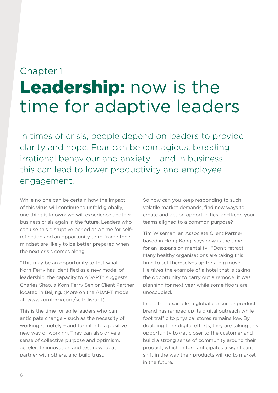# Chapter 1 Leadership: now is the time for adaptive leaders

In times of crisis, people depend on leaders to provide clarity and hope. Fear can be contagious, breeding irrational behaviour and anxiety – and in business, this can lead to lower productivity and employee engagement.

While no one can be certain how the impact of this virus will continue to unfold globally, one thing is known: we will experience another business crisis again in the future. Leaders who can use this disruptive period as a time for selfreflection and an opportunity to re-frame their mindset are likely to be better prepared when the next crisis comes along.

"This may be an opportunity to test what Korn Ferry has identified as a new model of leadership, the capacity to ADAPT," suggests Charles Shao, a Korn Ferry Senior Client Partner located in Beijing. (More on the ADAPT model at: [www.kornferry.com/self-disrupt\)](https://www.kornferry.com/self-disrupt)

This is the time for agile leaders who can anticipate change – such as the necessity of working remotely – and turn it into a positive new way of working. They can also drive a sense of collective purpose and optimism, accelerate innovation and test new ideas, partner with others, and build trust.

So how can you keep responding to such volatile market demands, find new ways to create and act on opportunities, and keep your teams aligned to a common purpose?

Tim Wiseman, an Associate Client Partner based in Hong Kong, says now is the time for an 'expansion mentality'. "Don't retract. Many healthy organisations are taking this time to set themselves up for a big move." He gives the example of a hotel that is taking the opportunity to carry out a remodel it was planning for next year while some floors are unoccupied.

In another example, a global consumer product brand has ramped up its digital outreach while foot traffic to physical stores remains low. By doubling their digital efforts, they are taking this opportunity to get closer to the customer and build a strong sense of community around their product, which in turn anticipates a significant shift in the way their products will go to market in the future.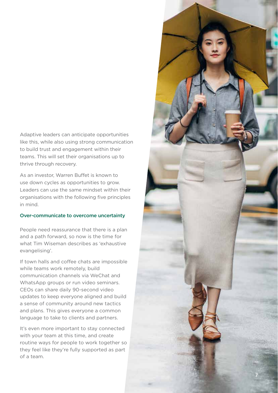Adaptive leaders can anticipate opportunities like this, while also using strong communication to build trust and engagement within their teams. This will set their organisations up to thrive through recovery.

As an investor, Warren Buffet is known to use down cycles as opportunities to grow. Leaders can use the same mindset within their organisations with the following five principles in mind.

#### Over-communicate to overcome uncertainty

People need reassurance that there is a plan and a path forward, so now is the time for what Tim Wiseman describes as 'exhaustive evangelising'.

If town halls and coffee chats are impossible while teams work remotely, build communication channels via WeChat and WhatsApp groups or run video seminars. CEOs can share daily 90-second video updates to keep everyone aligned and build a sense of community around new tactics and plans. This gives everyone a common language to take to clients and partners.

It's even more important to stay connected with your team at this time, and create routine ways for people to work together so they feel like they're fully supported as part of a team.

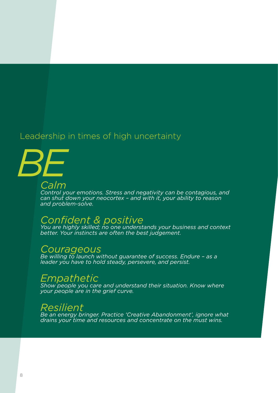# Leadership in times of high uncertainty

*Calm BE*

*Control your emotions. Stress and negativity can be contagious, and can shut down your neocortex – and with it, your ability to reason and problem-solve.* 

# *Confident & positive*

*You are highly skilled; no one understands your business and context better. Your instincts are often the best judgement.*

### *Courageous*

*Be willing to launch without guarantee of success. Endure – as a leader you have to hold steady, persevere, and persist.*

## *Empathetic*

*Show people you care and understand their situation. Know where your people are in the grief curve.*

## *Resilient*

*Be an energy bringer. Practice 'Creative Abandonment', ignore what drains your time and resources and concentrate on the must wins.*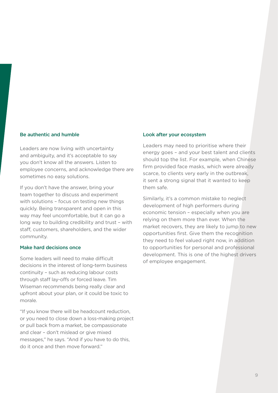#### Be authentic and humble

Leaders are now living with uncertainty and ambiguity, and it's acceptable to say you don't know all the answers. Listen to employee concerns, and acknowledge there are sometimes no easy solutions.

If you don't have the answer, bring your team together to discuss and experiment with solutions – focus on testing new things quickly. Being transparent and open in this way may feel uncomfortable, but it can go a long way to building credibility and trust – with staff, customers, shareholders, and the wider community.

#### Make hard decisions once

Some leaders will need to make difficult decisions in the interest of long-term business continuity – such as reducing labour costs through staff lay-offs or forced leave. Tim Wiseman recommends being really clear and upfront about your plan, or it could be toxic to morale.

"If you know there will be headcount reduction, or you need to close down a loss-making project or pull back from a market, be compassionate and clear – don't mislead or give mixed messages," he says. "And if you have to do this, do it once and then move forward."

#### Look after your ecosystem

Leaders may need to prioritise where their energy goes – and your best talent and clients should top the list. For example, when Chinese firm provided face masks, which were already scarce, to clients very early in the outbreak, it sent a strong signal that it wanted to keep them safe.

Similarly, it's a common mistake to neglect development of high performers during economic tension – especially when you are relying on them more than ever. When the market recovers, they are likely to jump to new opportunities first. Give them the recognition they need to feel valued right now, in addition to opportunities for personal and professional development. This is one of the highest drivers of employee engagement.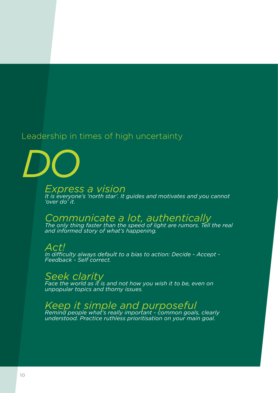# Leadership in times of high uncertainty

*DO*

*Express a vision It is everyone's 'north star'. It guides and motivates and you cannot 'over do' it.*

# *Communicate a lot, authentically*

*The only thing faster than the speed of light are rumors. Tell the real and informed story of what's happening.*

*Act! In difficulty always default to a bias to action: Decide - Accept - Feedback - Self correct.*

*Seek clarity* 

*Face the world as it is and not how you wish it to be, even on unpopular topics and thorny issues.*

*Keep it simple and purposeful* 

*Remind people what's really important - common goals, clearly understood. Practice ruthless prioritisation on your main goal.*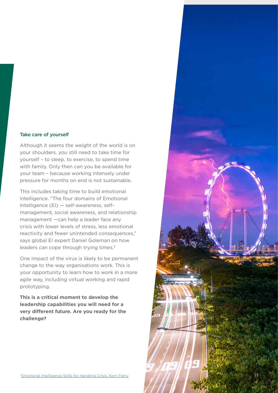#### Take care of yourself

Although it seems the weight of the world is on your shoulders, you still need to take time for yourself – to sleep, to exercise, to spend time with family. Only then can you be available for your team – because working intensely under pressure for months on end is not sustainable.

This includes taking time to build emotional intelligence. "The four domains of Emotional Intelligence (EI) — self-awareness, selfmanagement, social awareness, and relationship management —can help a leader face any crisis with lower levels of stress, less emotional reactivity and fewer unintended consequences," says global EI expert Daniel Goleman on how leaders can cope through trying times.<sup>2</sup>

One impact of the virus is likely to be permanent change to the way organisations work. This is your opportunity to learn how to work in a more agile way, including virtual working and rapid prototyping.

**This is a critical moment to develop the leadership capabilities you will need for a very different future. Are you ready for the challenge?** 

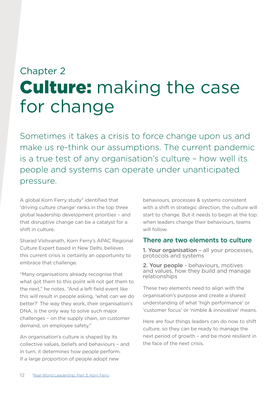# Chapter 2 Culture: making the case for change

Sometimes it takes a crisis to force change upon us and make us re-think our assumptions. The current pandemic is a true test of any organisation's culture – how well its people and systems can operate under unanticipated pressure.

A global Korn Ferry study<sup>3</sup> identified that 'driving culture change' ranks in the top three global leadership development priorities – and that disruptive change can be a catalyst for a shift in culture.

Sharad Vishvanath, Korn Ferry's APAC Regional Culture Expert based in New Delhi, believes this current crisis is certainly an opportunity to embrace that challenge.

"Many organisations already recognise that what got them to this point will not get them to the next," he notes. "And a left field event like this will result in people asking, 'what can we do better?' The way they work, their organisation's DNA, is the only way to solve such major challenges – on the supply chain, on customer demand, on employee safety."

An organisation's culture is shaped by its collective values, beliefs and behaviours – and in turn, it determines how people perform. If a large proportion of people adopt new

behaviours, processes & systems consistent with a shift in strategic direction, the culture will start to change. But it needs to begin at the top: when leaders change their behaviours, teams will follow.

### There are two elements to culture

1. Your organisation - all your processes, protocols and systems

2. Your people - behaviours, motives and values, how they build and manage relationships

These two elements need to align with the organisation's purpose and create a shared understanding of what 'high performance' or 'customer focus' or 'nimble & innovative' means.

Here are four things leaders can do now to shift culture, so they can be ready to manage the next period of growth – and be more resilient in the face of the next crisis.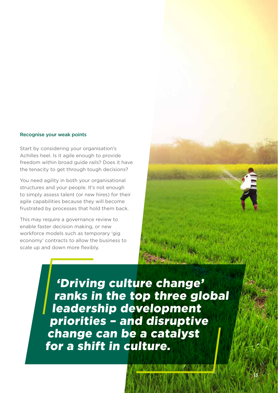#### Recognise your weak points

Start by considering your organisation's Achilles heel. Is it agile enough to provide freedom within broad guide rails? Does it have the tenacity to get through tough decisions?

You need agility in both your organisational structures and your people. It's not enough to simply assess talent (or new hires) for their agile capabilities because they will become frustrated by processes that hold them back.

This may require a governance review to enable faster decision making, or new workforce models such as temporary 'gig economy' contracts to allow the business to scale up and down more flexibly.

> 'Driving culture change' ranks in the top three global leadership development priorities – and disruptive change can be a catalyst for a shift in culture.

> > 13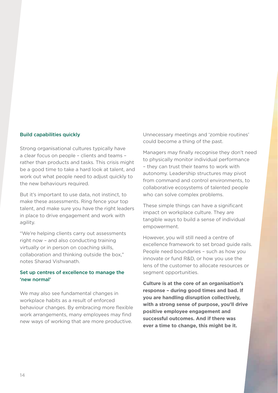#### Build capabilities quickly

Strong organisational cultures typically have a clear focus on people – clients and teams – rather than products and tasks. This crisis might be a good time to take a hard look at talent, and work out what people need to adjust quickly to the new behaviours required.

But it's important to use data, not instinct, to make these assessments. Ring fence your top talent, and make sure you have the right leaders in place to drive engagement and work with agility.

"We're helping clients carry out assessments right now – and also conducting training virtually or in person on coaching skills, collaboration and thinking outside the box," notes Sharad Vishvanath.

#### Set up centres of excellence to manage the 'new normal'

We may also see fundamental changes in workplace habits as a result of enforced behaviour changes. By embracing more flexible work arrangements, many employees may find new ways of working that are more productive.

Unnecessary meetings and 'zombie routines' could become a thing of the past.

Managers may finally recognise they don't need to physically monitor individual performance – they can trust their teams to work with autonomy. Leadership structures may pivot from command and control environments, to collaborative ecosystems of talented people who can solve complex problems.

These simple things can have a significant impact on workplace culture. They are tangible ways to build a sense of individual empowerment.

However, you will still need a centre of excellence framework to set broad guide rails. People need boundaries – such as how you innovate or fund R&D, or how you use the lens of the customer to allocate resources or segment opportunities.

**Culture is at the core of an organisation's response – during good times and bad. If you are handling disruption collectively, with a strong sense of purpose, you'll drive positive employee engagement and successful outcomes. And if there was ever a time to change, this might be it.**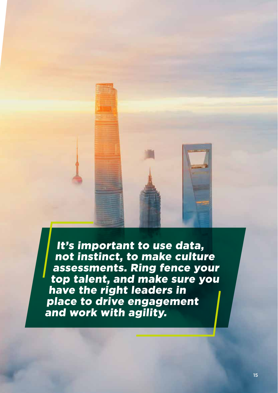It's important to use data, not instinct, to make culture assessments. Ring fence your top talent, and make sure you have the right leaders in place to drive engagement and work with agility.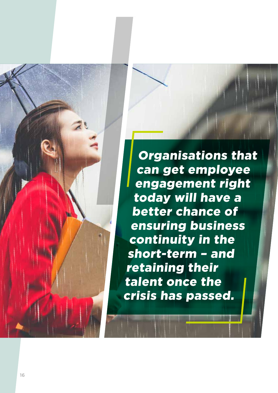Organisations that can get employee engagement right today will have a better chance of ensuring business continuity in the short-term – and retaining their talent once the crisis has passed.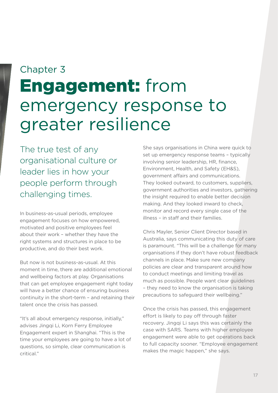# Chapter 3 Engagement: from emergency response to greater resilience

The true test of any organisational culture or leader lies in how your people perform through challenging times.

In business-as-usual periods, employee engagement focuses on how empowered, motivated and positive employees feel about their work – whether they have the right systems and structures in place to be productive, and do their best work.

But now is not business-as-usual. At this moment in time, there are additional emotional and wellbeing factors at play. Organisations that can get employee engagement right today will have a better chance of ensuring business continuity in the short-term – and retaining their talent once the crisis has passed.

"It's all about emergency response, initially," advises Jingqi Li, Korn Ferry Employee Engagement expert in Shanghai. "This is the time your employees are going to have a lot of questions, so simple, clear communication is critical."

She says organisations in China were quick to set up emergency response teams – typically involving senior leadership, HR, finance, Environment, Health, and Safety (EH&S), government affairs and communications. They looked outward, to customers, suppliers, government authorities and investors, gathering the insight required to enable better decision making. And they looked inward to check, monitor and record every single case of the illness – in staff and their families.

Chris Mayler, Senior Client Director based in Australia, says communicating this duty of care is paramount. "This will be a challenge for many organisations if they don't have robust feedback channels in place. Make sure new company policies are clear and transparent around how to conduct meetings and limiting travel as much as possible. People want clear guidelines – they need to know the organisation is taking precautions to safeguard their wellbeing."

Once the crisis has passed, this engagement effort is likely to pay off through faster recovery. Jingqi Li says this was certainly the case with SARS. Teams with higher employee engagement were able to get operations back to full capacity sooner. "Employee engagement makes the magic happen," she says.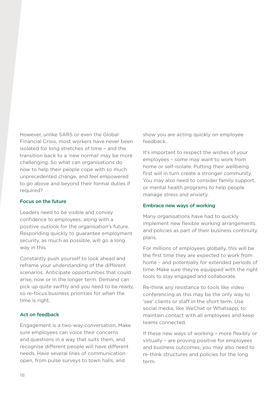However, unlike SARS or even the Global Financial Crisis, most workers have never been isolated for long stretches of time – and the transition back to a 'new normal' may be more challenging. So what can organisations do now to help their people cope with so much unprecedented change, and feel empowered to go above and beyond their formal duties if required?

#### Focus on the future

Leaders need to be visible and convey confidence to employees, along with a positive outlook for the organisation's future. Responding quickly to guarantee employment security, as much as possible, will go a long way in this.

Constantly push yourself to look ahead and reframe your understanding of the different scenarios. Anticipate opportunities that could arise, now or in the longer term. Demand can pick up quite swiftly and you need to be ready, so re-focus business priorities for when the time is right.

#### Act on feedback

Engagement is a two-way conversation. Make sure employees can voice their concerns and questions in a way that suits them, and recognise different people will have different needs. Have several lines of communication open, from pulse surveys to town halls, and

show you are acting quickly on employee feedback.

It's important to respect the wishes of your employees – some may want to work from home or self-isolate. Putting their wellbeing first will in turn create a stronger community. You may also need to consider family support, or mental health programs to help people manage stress and anxiety.

#### Embrace new ways of working

Many organisations have had to quickly implement new flexible working arrangements and policies as part of their business continuity plans.

For millions of employees globally, this will be the first time they are expected to work from home – and potentially for extended periods of time. Make sure they're equipped with the right tools to stay engaged and collaborate.

Re-think any resistance to tools like video conferencing as this may be the only way to 'see' clients or staff in the short term. Use social media, like WeChat or Whatsapp, to maintain contact with all employees and keep teams connected.

If these new ways of working – more flexibly or virtually – are proving positive for employees and business outcomes, you may also need to re-think structures and policies for the long term.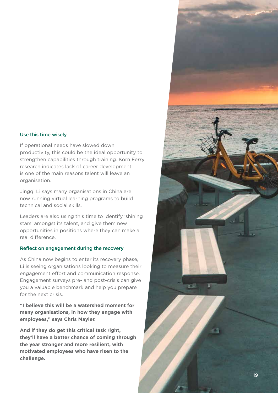#### Use this time wisely

If operational needs have slowed down productivity, this could be the ideal opportunity to strengthen capabilities through training. Korn Ferry research indicates lack of career development is one of the main reasons talent will leave an organisation.

Jingqi Li says many organisations in China are now running virtual learning programs to build technical and social skills.

Leaders are also using this time to identify 'shining stars' amongst its talent, and give them new opportunities in positions where they can make a real difference.

#### Reflect on engagement during the recovery

As China now begins to enter its recovery phase, Li is seeing organisations looking to measure their engagement effort and communication response. Engagement surveys pre- and post-crisis can give you a valuable benchmark and help you prepare for the next crisis.

**"I believe this will be a watershed moment for many organisations, in how they engage with employees," says Chris Mayler.** 

**And if they do get this critical task right, they'll have a better chance of coming through the year stronger and more resilient, with motivated employees who have risen to the challenge.**

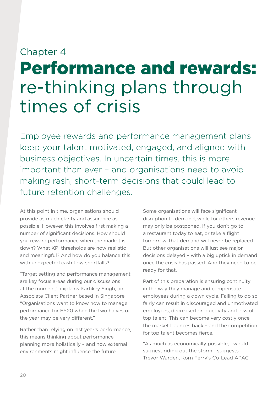# Chapter 4 Performance and rewards: re-thinking plans through times of crisis

Employee rewards and performance management plans keep your talent motivated, engaged, and aligned with business objectives. In uncertain times, this is more important than ever – and organisations need to avoid making rash, short-term decisions that could lead to future retention challenges.

At this point in time, organisations should provide as much clarity and assurance as possible. However, this involves first making a number of significant decisions. How should you reward performance when the market is down? What KPI thresholds are now realistic and meaningful? And how do you balance this with unexpected cash flow shortfalls?

"Target setting and performance management are key focus areas during our discussions at the moment," explains Kartikey Singh, an Associate Client Partner based in Singapore. "Organisations want to know how to manage performance for FY20 when the two halves of the year may be very different."

Rather than relying on last year's performance, this means thinking about performance planning more holistically – and how external environments might influence the future.

Some organisations will face significant disruption to demand, while for others revenue may only be postponed. If you don't go to a restaurant today to eat, or take a flight tomorrow, that demand will never be replaced. But other organisations will just see major decisions delayed – with a big uptick in demand once the crisis has passed. And they need to be ready for that.

Part of this preparation is ensuring continuity in the way they manage and compensate employees during a down cycle. Failing to do so fairly can result in discouraged and unmotivated employees, decreased productivity and loss of top talent. This can become very costly once the market bounces back – and the competition for top talent becomes fierce.

"As much as economically possible, I would suggest riding out the storm," suggests Trevor Warden, Korn Ferry's Co-Lead APAC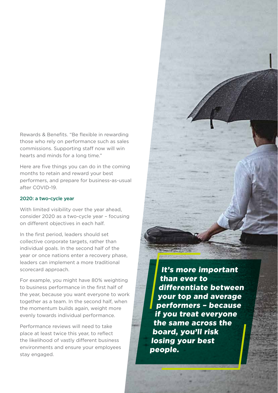Rewards & Benefits. "Be flexible in rewarding those who rely on performance such as sales commissions. Supporting staff now will win hearts and minds for a long time."

Here are five things you can do in the coming months to retain and reward your best performers, and prepare for business-as-usual after COVID-19.

#### 2020: a two-cycle year

With limited visibility over the year ahead. consider 2020 as a two-cycle year – focusing on different objectives in each half.

In the first period, leaders should set collective corporate targets, rather than individual goals. In the second half of the year or once nations enter a recovery phase, leaders can implement a more traditional scorecard approach.

For example, you might have 80% weighting to business performance in the first half of the year, because you want everyone to work together as a team. In the second half, when the momentum builds again, weight more evenly towards individual performance.

Performance reviews will need to take place at least twice this year, to reflect the likelihood of vastly different business environments and ensure your employees stay engaged.

It's more important than ever to differentiate between your top and average performers – because if you treat everyone the same across the board, you'll risk losing your best people.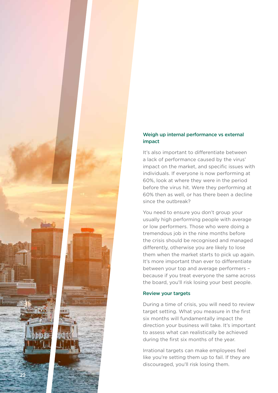### Weigh up internal performance vs external impact

It's also important to differentiate between a lack of performance caused by the virus' impact on the market, and specific issues with individuals. If everyone is now performing at 60%, look at where they were in the period before the virus hit. Were they performing at 60% then as well, or has there been a decline since the outbreak?

You need to ensure you don't group your usually high performing people with average or low performers. Those who were doing a tremendous job in the nine months before the crisis should be recognised and managed differently, otherwise you are likely to lose them when the market starts to pick up again. It's more important than ever to differentiate between your top and average performers – because if you treat everyone the same across the board, you'll risk losing your best people.

#### Review your targets

22

During a time of crisis, you will need to review target setting. What you measure in the first six months will fundamentally impact the direction your business will take. It's important to assess what can realistically be achieved during the first six months of the year.

Irrational targets can make employees feel like you're setting them up to fail. If they are discouraged, you'll risk losing them.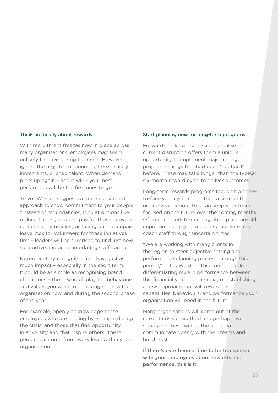#### Think hostically about rewards

With recruitment freezes now in place across many organisations, employees may seem unlikely to leave during the crisis. However, ignore the urge to cut bonuses, freeze salary increments, or shed talent. When demand picks up again – and it will – your best performers will be the first ones to go.

Trevor Warden suggests a more considered approach to show commitment to your people. "Instead of redundancies, look at options like reduced hours, reduced pay for those above a certain salary bracket, or taking paid or unpaid leave. Ask for volunteers for these initiatives first – leaders will be surprised to find just how supportive and accommodating staff can be."

Non-monetary recognition can have just as much impact – especially in the short term. It could be as simple as recognising brand champions – those who display the behaviours and values you want to encourage across the organisation now, and during the second phase of the year.

For example, openly acknowledge those employees who are leading by example during the crisis, and those that find opportunity in adversity and that inspire others. These people can come from every level within your organisation.

#### Start planning now for long-term programs

Forward-thinking organisations realise the current disruption offers them a unique opportunity to implement major change projects – things that had been 'too hard' before. These may take longer than the typical six-month reward cycle to deliver outcomes.

Long-term rewards programs focus on a threeto-four-year cycle rather than a six-month or one-year period. This can keep your team focused on the future over the coming months. Of course, short-term recognition plans are still important as they help leaders motivate and coach staff through uncertain times.

"We are working with many clients in the region to steer objective setting and performance planning process through this period," notes Warden. This could include differentiating reward performance between this financial year and the next, or establishing a new approach that will reward the capabilities, behaviours, and performance your organisation will need in the future.

Many organisations will come out of the current crisis unscathed and perhaps even stronger – these will be the ones that communicate openly with their teams and build trust.

If there's ever been a time to be transparent with your employees about rewards and performance, this is it.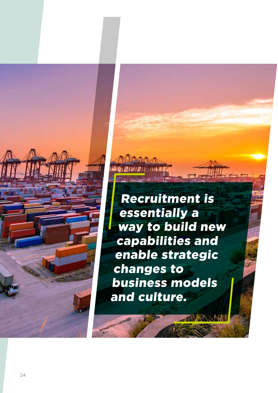Recruitment is essentially a way to build new capabilities and enable strategic changes to business models and culture.

**TAINININININ**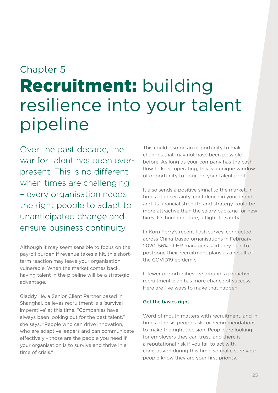# Chapter 5 Recruitment: building resilience into your talent pipeline

Over the past decade, the war for talent has been everpresent. This is no different when times are challenging – every organisation needs the right people to adapt to unanticipated change and ensure business continuity.

Although it may seem sensible to focus on the payroll burden if revenue takes a hit, this shortterm reaction may leave your organisation vulnerable. When the market comes back, having talent in the pipeline will be a strategic advantage.

Gladdy He, a Senior Client Partner based in Shanghai, believes recruitment is a 'survival imperative' at this time. "Companies have always been looking out for the best talent," she says. "People who can drive innovation, who are adaptive leaders and can communicate effectively - those are the people you need if your organisation is to survive and thrive in a time of crisis."

This could also be an opportunity to make changes that may not have been possible before. As long as your company has the cash flow to keep operating, this is a unique window of opportunity to upgrade your talent pool.

It also sends a positive signal to the market. In times of uncertainty, confidence in your brand and its financial strength and strategy could be more attractive than the salary package for new hires. It's human nature, a flight to safety.

In Korn Ferry's recent flash survey, conducted across China-based organisations in February 2020, 56% of HR managers said they plan to postpone their recruitment plans as a result of the COVID19 epidemic.

If fewer opportunities are around, a proactive recruitment plan has more chance of success. Here are five ways to make that happen.

#### Get the basics right

Word of mouth matters with recruitment, and in times of crisis people ask for recommendations to make the right decision. People are looking for employers they can trust, and there is a reputational risk if you fail to act with compassion during this time, so make sure your people know they are your first priority.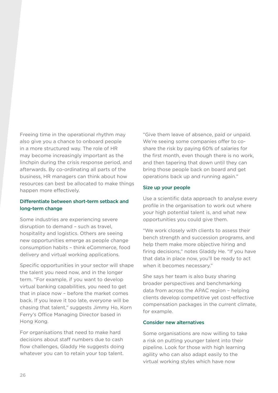Freeing time in the operational rhythm may also give you a chance to onboard people in a more structured way. The role of HR may become increasingly important as the linchpin during the crisis response period, and afterwards. By co-ordinating all parts of the business, HR managers can think about how resources can best be allocated to make things happen more effectively.

#### Differentiate between short-term setback and long-term change

Some industries are experiencing severe disruption to demand – such as travel, hospitality and logistics. Others are seeing new opportunities emerge as people change consumption habits – think eCommerce, food delivery and virtual working applications.

Specific opportunities in your sector will shape the talent you need now, and in the longer term. "For example, if you want to develop virtual banking capabilities, you need to get that in place now – before the market comes back. If you leave it too late, everyone will be chasing that talent," suggests Jimmy Ho, Korn Ferry's Office Managing Director based in Hong Kong.

For organisations that need to make hard decisions about staff numbers due to cash flow challenges, Gladdy He suggests doing whatever you can to retain your top talent.

"Give them leave of absence, paid or unpaid. We're seeing some companies offer to coshare the risk by paying 60% of salaries for the first month, even though there is no work, and then tapering that down until they can bring those people back on board and get operations back up and running again."

#### Size up your people

Use a scientific data approach to analyse every profile in the organisation to work out where your high potential talent is, and what new opportunities you could give them.

"We work closely with clients to assess their bench strength and succession programs, and help them make more objective hiring and firing decisions," notes Gladdy He. "If you have that data in place now, you'll be ready to act when it becomes necessary."

She says her team is also busy sharing broader perspectives and benchmarking data from across the APAC region – helping clients develop competitive yet cost-effective compensation packages in the current climate, for example.

#### Consider new alternatives

Some organisations are now willing to take a risk on putting younger talent into their pipeline. Look for those with high learning agility who can also adapt easily to the virtual working styles which have now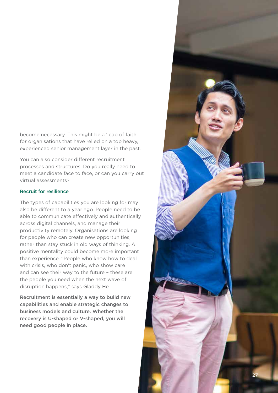become necessary. This might be a 'leap of faith' for organisations that have relied on a top heavy, experienced senior management layer in the past.

You can also consider different recruitment processes and structures. Do you really need to meet a candidate face to face, or can you carry out virtual assessments?

#### Recruit for resilience

The types of capabilities you are looking for may also be different to a year ago. People need to be able to communicate effectively and authentically across digital channels, and manage their productivity remotely. Organisations are looking for people who can create new opportunities, rather than stay stuck in old ways of thinking. A positive mentality could become more important than experience. "People who know how to deal with crisis, who don't panic, who show care and can see their way to the future – these are the people you need when the next wave of disruption happens," says Gladdy He.

Recruitment is essentially a way to build new capabilities and enable strategic changes to business models and culture. Whether the recovery is U-shaped or V-shaped, you will need good people in place.

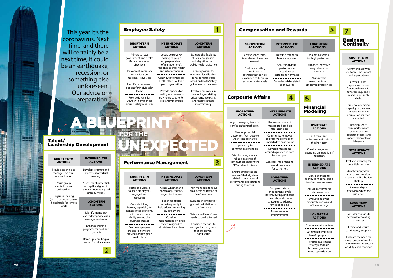

 $-511116$ 

i<br>Banan Ta

**A BLUEPRINT**

**UNEXPECTED**

**FOR THE**

This year it's the

time, and there



recession, or

something else

unforeseen.

Our advice on

preparation.

| <b>SHORT-TERM</b>        | <b>INTERMEDIA</b> |
|--------------------------|-------------------|
| <b>ACTIONS</b>           | <b>ACTIONS</b>    |
| Adhere to local          | Leverage surve    |
| government and health    | polling to gau    |
| officials' notices and   | employees' vie    |
| directions               | of manageme       |
| Implement necessary      | response to their |
| restrictions on          | and safety cond   |
| meetings, travel, etc.   | Contribute to me  |
| Identify remote-work     | health efforts ou |
| options for individuals/ | your organizat    |
| teams                    | Provide option    |
| Provide forums for       | healthy employe   |
| Q&As with employees      | stay home to ca   |
| around safety measures   | sick family mem   |

# LONG-TERM ACTIONS ate the flexibility ck-leave policies align them with

 $\sqrt{ }$ 

Ive employees in loping/updating s response plans, then test them

health guidance . \_ \_ \_ \_ \_ \_ \_ \_ \_ \_ \_ \_ eate policies to ower local leaders espond to crises I on health/safety elines in their area ------------

#### Create short-term, Develop retentio team-based incentive plans for key talen rewards --------------Adjust individual -----------------

| <b>INTERMEDIATE</b><br><b>ACTIONS</b> |                 |
|---------------------------------------|-----------------|
| Leverage surveys/<br>polling to gauge | Evalu<br>of sic |
| employees' views                      | and a           |
| of management's                       | public          |
| response to their health              |                 |
| and safety concerns                   | Cre             |
|                                       | empo            |
| Contribute to medical/                | to re           |
| health efforts outside                | based           |
| your organization                     | guide           |
|                                       |                 |
| Provide options for                   | Invol           |
| healthy employees to                  | devel           |
| stay home to care for                 | crises          |
| sick family members                   | and             |
|                                       |                 |

intermittently

| <b>Employee Safety</b> |  |
|------------------------|--|
|                        |  |

orientations and onboarding ------------------

soft skills ------------------

Assess whether and how to adjust goals/ targets for the year ----------------Solicit feedback more frequently to help address emerging issues/barriers ----------------

| <b>SHORT-TERM</b><br><b>ACTIONS</b>                                                    | <b>INTERMEDIATE</b><br><b>ACTIONS</b>                                     |
|----------------------------------------------------------------------------------------|---------------------------------------------------------------------------|
| Align messaging to avoid<br>confusion/contradictions                                   | Reassess and adapt<br>messaging based on<br>the latest data               |
| Plan for potential<br>outcomes, from best-to<br>worst-case scenarios<br>Update digital | Communicate moves<br>to preserve profitability<br>unrelated to head count |
| communications tools<br>Establish a regular and<br>reliable cadence of                 | Develop messaging<br>around a post-crisis path<br>forward plan            |

LONG-TERM **ACTIONS** 

 $\mathbb{B}$ 

Train managers to focus on outcomes instead of face/desk time . <u>\_ \_ \_ \_ \_ \_ \_ \_ \_ \_ \_ \_ \_</u> \_ Evaluate the impact of grade/title inflation on performance --------------

Ensure employees are aware of their rights as related to sick pay and performance expectations during the crisis

communication from the CEO and senior team<br>-----------------Consider implementing reward measures for customers

#### LONG-TERM ACTIONS

## Corporate Affairs

#### SHORT-TERM ACTIONS

Provide coaching to managers on crisis communications . . . . . . . . . . . . Pause group

Organise training (virtual or in-person) on digital tools for remote work

INTERMEDIATE ACTIONS

Develop structure and processes for virtual meetings<br>--------------Assess for fit, potential,

and agility aligned to evolving operating and strategy models

#### LONG-TERM ACTIONS

Identify managers/ leaders for specific crisis management roles . \_ \_ \_ \_ \_ \_ \_ \_ \_ \_ \_ \_ \_ \_ \_ \_ \_ Enhance training programs for hard and

Ramp up recruiting as needed for critical roles

Talent/ Leadership Development

> SHORT-TERM INTERMEDIATE **ACTIONS ACTIONS** Focus on purpose to keep employees engaged and motivated . \_ \_ \_ \_ \_ \_ \_ \_ \_ \_ \_ \_ \_ \_ Consider hiring freezes, especially for nonessential positions,

until there is more clarity around the business impact<br>---------------Ensure employees are clear on whether

previous or new goals are in place

| 5<br><b>Compensation and Rewards</b>                                                                                                                                     |                                                                     |                                                                                                                                          |                                                                                                                       |                                                                                                                                                       |  |
|--------------------------------------------------------------------------------------------------------------------------------------------------------------------------|---------------------------------------------------------------------|------------------------------------------------------------------------------------------------------------------------------------------|-----------------------------------------------------------------------------------------------------------------------|-------------------------------------------------------------------------------------------------------------------------------------------------------|--|
| <b>SHORT-TERM</b><br><b>ACTIONS</b>                                                                                                                                      |                                                                     | <b>INTERMEDIATE</b><br><b>ACTIONS</b>                                                                                                    | <b>LONG-TERM</b><br><b>ACTIONS</b>                                                                                    | <b>Business</b><br><b>Continuity</b>                                                                                                                  |  |
| Create short-term,<br>team-based incentive<br>rewards                                                                                                                    |                                                                     | Develop retention<br>plans for key talent                                                                                                | Maintain awards<br>for high performers                                                                                | <b>SHORT-TERM</b><br><b>ACTIONS</b>                                                                                                                   |  |
| Evaluate existing<br>nonfinancial<br>rewards that can be<br>expanded to keep up<br>engagement/morale<br>orate Affairs                                                    |                                                                     | Adjust individual<br>performance<br>incentives as<br>conditions normalise<br>Consider crisis-related<br>spot awards                      | <b>Enhance incentive</b><br>designs based on<br>learnings<br>Align reward<br>investments with<br>employee preferences | Communicate with<br>customers on impact<br>and expectations<br>Create C-suite-<br>sponsored cross-<br>functional teams for<br>key areas (e.g., sales/ |  |
|                                                                                                                                                                          |                                                                     | 4                                                                                                                                        | 6                                                                                                                     | marketing, supply<br>chain)                                                                                                                           |  |
| IORT-TERM<br>ACTIONS                                                                                                                                                     |                                                                     | <b>INTERMEDIATE</b><br><b>ACTIONS</b>                                                                                                    | <b>Financial</b><br><b>Modeling</b>                                                                                   | Preserve operating<br>capacity in the event<br>demand returns to<br>normal sooner than<br>expected                                                    |  |
| essaging to avoid<br>ion/contradictions<br>n for potential<br>nes, from best- to<br>t-case scenarios<br>pdate digital                                                    |                                                                     | Reassess and adapt<br>messaging based on<br>the latest data<br>Communicate moves<br>to preserve profitability<br>unrelated to head count | <b>IMMEDIATE</b><br><b>ACTIONS</b><br>Cut travel and<br>entertainment costs in<br>the short term                      | Develop short-<br>term performance<br>benchmarks for<br>operating teams and<br>update them at least<br>biweekly                                       |  |
| nunications tools<br>lish a regular and                                                                                                                                  |                                                                     | Develop messaging<br>around a post-crisis path<br>forward plan                                                                           | Consider ways to cut<br>spending on materials if<br>necessary                                                         | <b>INTERMEDIATE</b><br><b>ACTIONS</b>                                                                                                                 |  |
| ble cadence of<br>unication from the<br>and senior team<br>re employees are<br>of their rights as !<br>d to sick pay and<br>ance expectations<br><b>iring the crisis</b> |                                                                     | Consider implementing<br>reward measures<br>for customers                                                                                | <b>INTERMEDIATE</b><br><b>ACTIONS</b>                                                                                 | Evaluate inventory for<br>potential shortages                                                                                                         |  |
|                                                                                                                                                                          |                                                                     | <b>LONG-TERM</b><br><b>ACTIONS</b>                                                                                                       | Consider diverting<br>money from bonus pools<br>to offset revenue losses                                              | Identify supply chain<br>alternatives; consider<br>changes to distribution<br>strategy                                                                |  |
|                                                                                                                                                                          |                                                                     | Compare data on<br>engagement levels<br>before, during, and after                                                                        | Adjust pay terms for<br>outside vendors                                                                               | Increase digital<br>initiatives and channel<br>presence                                                                                               |  |
|                                                                                                                                                                          | the crisis, and create<br>strategies to address<br>times of decline |                                                                                                                                          | Evaluate delaying<br>product launches and<br>office openings                                                          | <b>LONG-TERM</b><br><b>ACTIONS</b>                                                                                                                    |  |
|                                                                                                                                                                          |                                                                     | Assess areas for<br>improvements                                                                                                         | <b>LONG-TERM</b><br><b>ACTIONS</b>                                                                                    | Consider changes to<br>demand-forecasting<br>processes                                                                                                |  |
|                                                                                                                                                                          |                                                                     |                                                                                                                                          | Fine-tune cost structure<br>Cut unused employee                                                                       | Create and secure<br>contingency suppliers                                                                                                            |  |
|                                                                                                                                                                          |                                                                     |                                                                                                                                          | benefit programs<br>Refocus investment<br>strategy on main<br>business goals and<br>growth opportunities              | Evaluate the need for<br>more sources of contin-<br>gency workers to secure<br>on-duty crisis coverage                                                |  |
|                                                                                                                                                                          |                                                                     |                                                                                                                                          |                                                                                                                       |                                                                                                                                                       |  |

Consider implementing off-cycle reviews aligned to short-term incentives

Determine if workforce needs to be right-sized -----------------Consider changes to recognition programs that employees don't value

Performance Management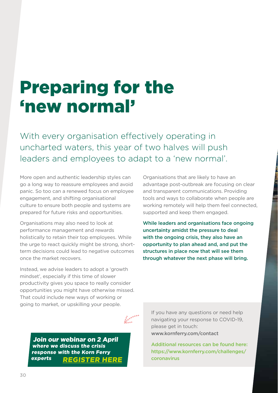# Preparing for the 'new normal'

With every organisation effectively operating in uncharted waters, this year of two halves will push leaders and employees to adapt to a 'new normal'.

More open and authentic leadership styles can go a long way to reassure employees and avoid panic. So too can a renewed focus on employee engagement, and shifting organisational culture to ensure both people and systems are prepared for future risks and opportunities.

Organisations may also need to look at performance management and rewards holistically to retain their top employees. While the urge to react quickly might be strong, shortterm decisions could lead to negative outcomes once the market recovers.

Instead, we advise leaders to adopt a 'growth mindset', especially if this time of slower productivity gives you space to really consider opportunities you might have otherwise missed. That could include new ways of working or going to market, or upskilling your people.

Organisations that are likely to have an advantage post-outbreak are focusing on clear and transparent communications. Providing tools and ways to collaborate when people are working remotely will help them feel connected, supported and keep them engaged.

While leaders and organisations face ongoing uncertainty amidst the pressure to deal with the ongoing crisis, they also have an opportunity to plan ahead and, and put the structures in place now that will see them through whatever the next phase will bring.

[Join our webinar on 2 April](https://infokf.kornferry.com/LeadingThroughCrisis.html?utm_source=outreach&utm_medium=email&utm_term=COVID19webinarplaybook&utm_content=webinar&utm_campaign=20-03-APAC-COVID19) where we discuss the crisis response with the Korn Ferry experts REGISTER HERE If you have any questions or need help navigating your response to COVID-19, please get in touch: www.kornferry.com/contact

Additional resources can be found here: https://www.kornferry.com/challenges/ coronavirus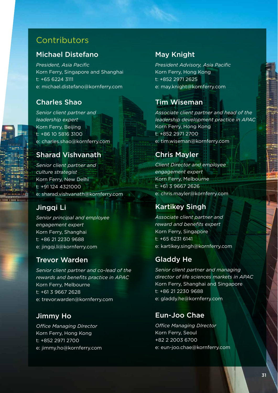## **Contributors**

## Michael Distefano

*President, Asia Pacific* Korn Ferry, Singapore and Shanghai t: +65 6224 3111 e: michael.distefano@kornferry.com

## Charles Shao

*Senior client partner and leadership expert* Korn Ferry, Beijing t: +86 10 5816 3100 e: charles.shao@kornferry.com

### Sharad Vishvanath

*Senior client partner and culture strategist* Korn Ferry, New Delhi t: +91 124 4321000 e: sharad.vishvanath@kornferry.com

### Jingqi Li

*Senior principal and employee engagement expert* Korn Ferry, Shanghai t: +86 21 2230 9688 e: jingqi.li@kornferry.com

### Trevor Warden

*Senior client partner and co-lead of the rewards and benefits practice in APAC* Korn Ferry, Melbourne t: +61 3 9667 2628 e: trevor.warden@kornferry.com

### Jimmy Ho

*Office Managing DIrector* Korn Ferry, Hong Kong t: +852 2971 2700 e: jimmy.ho@kornferry.com

## May Knight

*President Advisory, Asia Pacific* Korn Ferry, Hong Kong t: +852 2971 2625 e: may.knight@kornferry.com

## Tim Wiseman

*Associate client partner and head of the leadership development practice in APAC*  Korn Ferry, Hong Kong t: +852 2971 2700 e: tim.wiseman@kornferry.com

## Chris Mayler

*Client Director and employee engagement expert*  Korn Ferry, Melbourne t: +61 3 9667 2626 e: chris.mayler@kornferry.com

## Kartikey Singh

*Associate client partner and reward and benefits expert* Korn Ferry, Singapore t: +65 6231 6141 e: kartikey.singh@kornferry.com

### Gladdy He

*Senior client partner and managing director of life sciences markets in APAC* Korn Ferry, Shanghai and Singapore t: +86 21 2230 9688 e: gladdy.he@kornferry.com

## Eun-Joo Chae

*Office Managing DIrector* Korn Ferry, Seoul +82 2 2003 6700 e: eun-joo.chae@kornferry.com